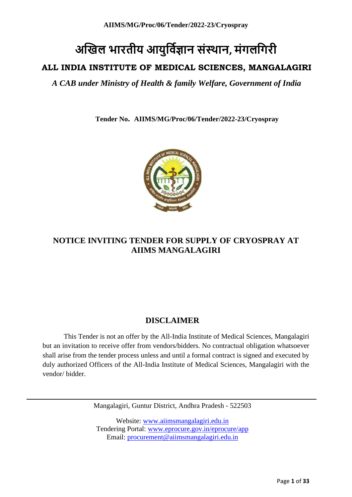# **अखिल भारतीय आयुर्विज्ञान संस्थान, मंगलर्गरी**

# **ALL INDIA INSTITUTE OF MEDICAL SCIENCES, MANGALAGIRI**

# *A CAB under Ministry of Health & family Welfare, Government of India*

**Tender No. AIIMS/MG/Proc/06/Tender/2022-23/Cryospray**



# **NOTICE INVITING TENDER FOR SUPPLY OF CRYOSPRAY AT AIIMS MANGALAGIRI**

# **DISCLAIMER**

This Tender is not an offer by the All-India Institute of Medical Sciences, Mangalagiri but an invitation to receive offer from vendors/bidders. No contractual obligation whatsoever shall arise from the tender process unless and until a formal contract is signed and executed by duly authorized Officers of the All-India Institute of Medical Sciences, Mangalagiri with the vendor/ bidder.

Mangalagiri, Guntur District, Andhra Pradesh - 522503

Website: [www.aiimsmangalagiri.edu.in](http://www.aiimsmangalagiri.edu.in/) Tendering Portal: [www.eprocure.gov.in/eprocure/app](http://www.eprocure.gov.in/eprocure/app) Email: [procurement@aiimsmangalagiri.edu.in](mailto:procurement@aiimsmangalagiri.edu.in)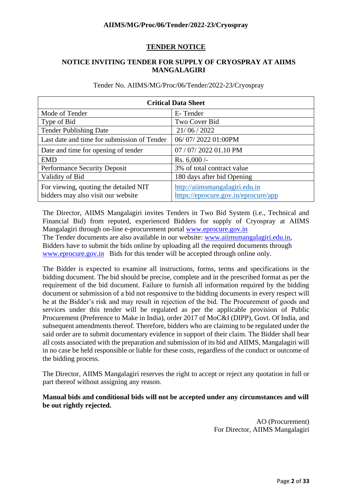# **TENDER NOTICE**

### **NOTICE INVITING TENDER FOR SUPPLY OF CRYOSPRAY AT AIIMS MANGALAGIRI**

#### Tender No. AIIMS/MG/Proc/06/Tender/2022-23/Cryospray

| <b>Critical Data Sheet</b>                                                  |                                                                        |  |  |  |
|-----------------------------------------------------------------------------|------------------------------------------------------------------------|--|--|--|
| Mode of Tender                                                              | E-Tender                                                               |  |  |  |
| Type of Bid                                                                 | Two Cover Bid                                                          |  |  |  |
| <b>Tender Publishing Date</b>                                               | 21/06/2022                                                             |  |  |  |
| Last date and time for submission of Tender                                 | 06/07/2022 01:00PM                                                     |  |  |  |
| Date and time for opening of tender                                         | 07 / 07/ 2022 01.10 PM                                                 |  |  |  |
| <b>EMD</b>                                                                  | Rs. $6,000$ /-                                                         |  |  |  |
| <b>Performance Security Deposit</b>                                         | 3% of total contract value                                             |  |  |  |
| Validity of Bid                                                             | 180 days after bid Opening                                             |  |  |  |
| For viewing, quoting the detailed NIT<br>bidders may also visit our website | http://aiimsmangalagiri.edu.in<br>https://eprocure.gov.in/eprocure/app |  |  |  |

The Director, AIIMS Mangalagiri invites Tenders in Two Bid System (i.e., Technical and Financial Bid) from reputed, experienced Bidders for supply of Cryospray at AIIMS Mangalagiri through on-line e-procurement portal [www.eprocure.gov.in](http://www.eprocure.gov.in/)

The Tender documents are also available in our website: [www.aiimsmangalagiri.edu.in,](http://www.aiimsbhopal.edu.in/) Bidders have to submit the bids online by uploading all the required documents through [www.eprocure.gov.in](http://www.eprocure.gov.in/) Bids for this tender will be accepted through online only.

The Bidder is expected to examine all instructions, forms, terms and specifications in the bidding document. The bid should be precise, complete and in the prescribed format as per the requirement of the bid document. Failure to furnish all information required by the bidding document or submission of a bid not responsive to the bidding documents in every respect will be at the Bidder's risk and may result in rejection of the bid. The Procurement of goods and services under this tender will be regulated as per the applicable provision of Public Procurement (Preference to Make in India), order 2017 of MoC&I (DIPP), Govt. Of India, and subsequent amendments thereof. Therefore, bidders who are claiming to be regulated under the said order are to submit documentary evidence in support of their claim. The Bidder shall bear all costs associated with the preparation and submission of its bid and AIIMS, Mangalagiri will in no case be held responsible or liable for these costs, regardless of the conduct or outcome of the bidding process.

The Director, AIIMS Mangalagiri reserves the right to accept or reject any quotation in full or part thereof without assigning any reason.

#### **Manual bids and conditional bids will not be accepted under any circumstances and will be out rightly rejected.**

AO (Procurement) For Director, AIIMS Mangalagiri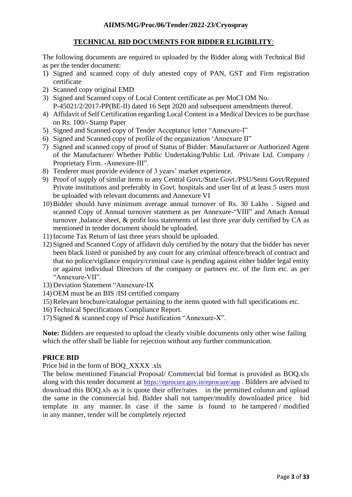# **TECHNICAL BID DOCUMENTS FOR BIDDER ELIGIBILITY**:

The following documents are required to uploaded by the Bidder along with Technical Bid as per the tender document:

- 1) Signed and scanned copy of duly attested copy of PAN, GST and Firm registration certificate
- 2) Scanned copy original EMD
- 3) Signed and Scanned copy of Local Content certificate as per MoCI OM No. P-45021/2/2017-PP(BE-II) dated 16 Sept 2020 and subsequent amendments thereof.
- 4) Affidavit of Self Certification regarding Local Content in a Medical Devices to be purchase on Rs. 100/- Stamp Paper
- 5) Signed and Scanned copy of Tender Acceptance letter "Annexure-I"
- 6) Signed and Scanned copy of profile of the organization 'Annexure II"
- 7) Signed and scanned copy of proof of Status of Bidder: Manufacturer or Authorized Agent of the Manufacturer/ Whether Public Undertaking/Public Ltd. /Private Ltd. Company / Proprietary Firm. -Annexure-III".
- 8) Tenderer must provide evidence of 3 years' market experience.
- 9) Proof of supply of similar items to any Central Govt./State Govt./PSU/Semi Govt/Reputed Private institutions and preferably in Govt. hospitals and user list of at least 5 users must be uploaded with relevant documents and Annexure VI
- 10)Bidder should have minimum average annual turnover of Rs. 30 Lakhs . Signed and scanned Copy of Annual turnover statement as per Annexure-"VIII" and Attach Annual turnover ,balance sheet, & profit loss statements of last three year duly certified by CA as mentioned in tender document should be uploaded.
- 11)Income Tax Return of last three years should be uploaded.
- 12) Signed and Scanned Copy of affidavit duly certified by the notary that the bidder has never been black listed or punished by any court for any criminal offence/breach of contract and that no police/vigilance enquiry/criminal case is pending against either bidder legal entity or against individual Directors of the company or partners etc. of the firm etc. as per "Annexure-VII".
- 13) Deviation Statement "Annexure-IX
- 14) OEM must be an BIS /ISI certified company
- 15)Relevant brochure/catalogue pertaining to the items quoted with full specifications etc.
- 16) Technical Specifications Compliance Report.
- 17) Signed & scanned copy of Price Justification "Annexure-X".

**Note:** Bidders are requested to upload the clearly visible documents only other wise failing which the offer shall be liable for rejection without any further communication.

#### **PRICE BID**

Price bid in the form of BOO\_XXXX .xls

The below mentioned Financial Proposal/ Commercial bid format is provided as BOQ.xls along with this tender document at <https://eprocure.gov.in/eprocure/app> . Bidders are advised to download this BOQ.xls as it is quote their offer/rates in the permitted column and upload the same in the commercial bid. Bidder shall not tamper/modify downloaded price bid template in any manner. In case if the same is found to be tampered / modified in any manner, tender will be completely rejected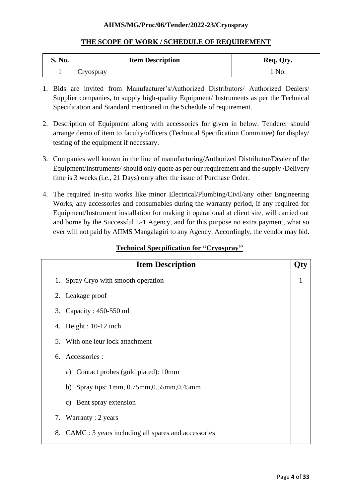# **THE SCOPE OF WORK / SCHEDULE OF REQUIREMENT**

| S. No. | <b>Item Description</b> | Req. Qty. |
|--------|-------------------------|-----------|
|        | Cryospray               | No.       |

- 1. Bids are invited from Manufacturer's/Authorized Distributors/ Authorized Dealers/ Supplier companies, to supply high-quality Equipment/ Instruments as per the Technical Specification and Standard mentioned in the Schedule of requirement.
- 2. Description of Equipment along with accessories for given in below. Tenderer should arrange demo of item to faculty/officers (Technical Specification Committee) for display/ testing of the equipment if necessary.
- 3. Companies well known in the line of manufacturing/Authorized Distributor/Dealer of the Equipment/Instruments/ should only quote as per our requirement and the supply /Delivery time is 3 weeks (i.e., 21 Days) only after the issue of Purchase Order.
- 4. The required in-situ works like minor Electrical/Plumbing/Civil/any other Engineering Works, any accessories and consumables during the warranty period, if any required for Equipment/Instrument installation for making it operational at client site, will carried out and borne by the Successful L-1 Agency, and for this purpose no extra payment, what so ever will not paid by AIIMS Mangalagiri to any Agency. Accordingly, the vendor may bid.

| <b>Item Description</b>                                   | Qty          |
|-----------------------------------------------------------|--------------|
| 1. Spray Cryo with smooth operation                       | $\mathbf{1}$ |
| 2. Leakage proof                                          |              |
| 3. Capacity: 450-550 ml                                   |              |
| Height : $10-12$ inch<br>4.                               |              |
| With one leur lock attachment<br>$5_{-}$                  |              |
| 6. Accessories :                                          |              |
| Contact probes (gold plated): 10mm<br>a)                  |              |
| b) Spray tips: $1mm$ , $0.75mm$ , $0.55mm$ , $0.45mm$     |              |
| Bent spray extension<br>c)                                |              |
| 7. Warranty: 2 years                                      |              |
| CAMC : 3 years including all spares and accessories<br>8. |              |

# **Technical Specpification for "Cryospray''**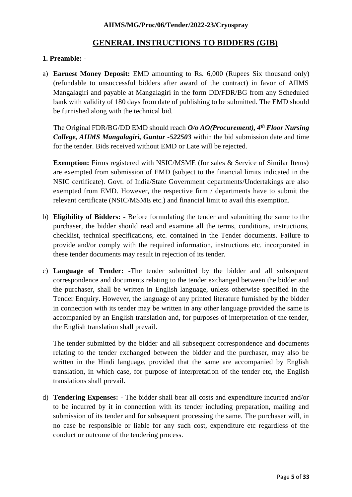# **GENERAL INSTRUCTIONS TO BIDDERS (GIB)**

#### **1. Preamble: -**

a) **Earnest Money Deposit:** EMD amounting to Rs. 6,000 (Rupees Six thousand only) (refundable to unsuccessful bidders after award of the contract) in favor of AIIMS Mangalagiri and payable at Mangalagiri in the form DD/FDR/BG from any Scheduled bank with validity of 180 days from date of publishing to be submitted. The EMD should be furnished along with the technical bid.

 The Original FDR/BG/DD EMD should reach *O/o AO(Procurement), 4th Floor Nursing College, AIIMS Mangalagiri, Guntur -522503* within the bid submission date and time for the tender. Bids received without EMD or Late will be rejected.

**Exemption:** Firms registered with NSIC/MSME (for sales & Service of Similar Items) are exempted from submission of EMD (subject to the financial limits indicated in the NSIC certificate). Govt. of India/State Government departments/Undertakings are also exempted from EMD. However, the respective firm / departments have to submit the relevant certificate (NSIC/MSME etc.) and financial limit to avail this exemption.

- b) **Eligibility of Bidders: -** Before formulating the tender and submitting the same to the purchaser, the bidder should read and examine all the terms, conditions, instructions, checklist, technical specifications, etc. contained in the Tender documents. Failure to provide and/or comply with the required information, instructions etc. incorporated in these tender documents may result in rejection of its tender.
- c) **Language of Tender: -**The tender submitted by the bidder and all subsequent correspondence and documents relating to the tender exchanged between the bidder and the purchaser, shall be written in English language, unless otherwise specified in the Tender Enquiry. However, the language of any printed literature furnished by the bidder in connection with its tender may be written in any other language provided the same is accompanied by an English translation and, for purposes of interpretation of the tender, the English translation shall prevail.

The tender submitted by the bidder and all subsequent correspondence and documents relating to the tender exchanged between the bidder and the purchaser, may also be written in the Hindi language, provided that the same are accompanied by English translation, in which case, for purpose of interpretation of the tender etc, the English translations shall prevail.

d) **Tendering Expenses: -** The bidder shall bear all costs and expenditure incurred and/or to be incurred by it in connection with its tender including preparation, mailing and submission of its tender and for subsequent processing the same. The purchaser will, in no case be responsible or liable for any such cost, expenditure etc regardless of the conduct or outcome of the tendering process.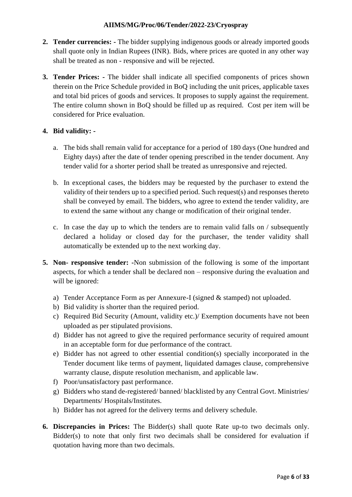- **2. Tender currencies: -** The bidder supplying indigenous goods or already imported goods shall quote only in Indian Rupees (INR). Bids, where prices are quoted in any other way shall be treated as non - responsive and will be rejected.
- **3. Tender Prices: -** The bidder shall indicate all specified components of prices shown therein on the Price Schedule provided in BoQ including the unit prices, applicable taxes and total bid prices of goods and services. It proposes to supply against the requirement. The entire column shown in BoQ should be filled up as required. Cost per item will be considered for Price evaluation.

# **4. Bid validity: -**

- a. The bids shall remain valid for acceptance for a period of 180 days (One hundred and Eighty days) after the date of tender opening prescribed in the tender document. Any tender valid for a shorter period shall be treated as unresponsive and rejected.
- b. In exceptional cases, the bidders may be requested by the purchaser to extend the validity of their tenders up to a specified period. Such request(s) and responses thereto shall be conveyed by email. The bidders, who agree to extend the tender validity, are to extend the same without any change or modification of their original tender.
- c. In case the day up to which the tenders are to remain valid falls on / subsequently declared a holiday or closed day for the purchaser, the tender validity shall automatically be extended up to the next working day.
- **5. Non- responsive tender: -**Non submission of the following is some of the important aspects, for which a tender shall be declared non – responsive during the evaluation and will be ignored:
	- a) Tender Acceptance Form as per Annexure-I (signed & stamped) not uploaded.
	- b) Bid validity is shorter than the required period.
	- c) Required Bid Security (Amount, validity etc.)/ Exemption documents have not been uploaded as per stipulated provisions.
	- d) Bidder has not agreed to give the required performance security of required amount in an acceptable form for due performance of the contract.
	- e) Bidder has not agreed to other essential condition(s) specially incorporated in the Tender document like terms of payment, liquidated damages clause, comprehensive warranty clause, dispute resolution mechanism, and applicable law.
	- f) Poor/unsatisfactory past performance.
	- g) Bidders who stand de-registered/ banned/ blacklisted by any Central Govt. Ministries/ Departments/ Hospitals/Institutes.
	- h) Bidder has not agreed for the delivery terms and delivery schedule.
- **6. Discrepancies in Prices:** The Bidder(s) shall quote Rate up-to two decimals only. Bidder(s) to note that only first two decimals shall be considered for evaluation if quotation having more than two decimals.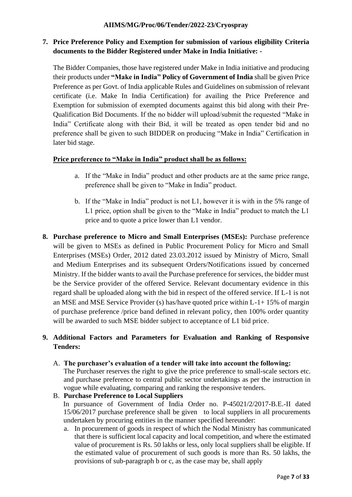# **7. Price Preference Policy and Exemption for submission of various eligibility Criteria documents to the Bidder Registered under Make in India Initiative: -**

The Bidder Companies, those have registered under Make in India initiative and producing their products under **"Make in India" Policy of Government of India** shall be given Price Preference as per Govt. of India applicable Rules and Guidelines on submission of relevant certificate (i.e. Make In India Certification) for availing the Price Preference and Exemption for submission of exempted documents against this bid along with their Pre-Qualification Bid Documents. If the no bidder will upload/submit the requested "Make in India" Certificate along with their Bid, it will be treated as open tender bid and no preference shall be given to such BIDDER on producing "Make in India" Certification in later bid stage.

# **Price preference to "Make in India" product shall be as follows:**

- a. If the "Make in India" product and other products are at the same price range, preference shall be given to "Make in India" product.
- b. If the "Make in India" product is not L1, however it is with in the 5% range of L1 price, option shall be given to the "Make in India" product to match the L1 price and to quote a price lower than L1 vendor.
- **8. Purchase preference to Micro and Small Enterprises (MSEs):** Purchase preference will be given to MSEs as defined in Public Procurement Policy for Micro and Small Enterprises (MSEs) Order, 2012 dated 23.03.2012 issued by Ministry of Micro, Small and Medium Enterprises and its subsequent Orders/Notifications issued by concerned Ministry. If the bidder wants to avail the Purchase preference for services, the bidder must be the Service provider of the offered Service. Relevant documentary evidence in this regard shall be uploaded along with the bid in respect of the offered service. If L-1 is not an MSE and MSE Service Provider (s) has/have quoted price within L-1+ 15% of margin of purchase preference /price band defined in relevant policy, then 100% order quantity will be awarded to such MSE bidder subject to acceptance of L1 bid price.

# **9. Additional Factors and Parameters for Evaluation and Ranking of Responsive Tenders:**

#### A. **The purchaser's evaluation of a tender will take into account the following:**

The Purchaser reserves the right to give the price preference to small-scale sectors etc. and purchase preference to central public sector undertakings as per the instruction in vogue while evaluating, comparing and ranking the responsive tenders.

#### B. **Purchase Preference to Local Suppliers**

In pursuance of Government of India Order no. P-45021/2/2017-B.E.-II dated 15/06/2017 purchase preference shall be given to local suppliers in all procurements undertaken by procuring entities in the manner specified hereunder:

a. In procurement of goods in respect of which the Nodal Ministry has communicated that there is sufficient local capacity and local competition, and where the estimated value of procurement is Rs. 50 lakhs or less, only local suppliers shall be eligible. If the estimated value of procurement of such goods is more than Rs. 50 lakhs, the provisions of sub-paragraph b or c, as the case may be, shall apply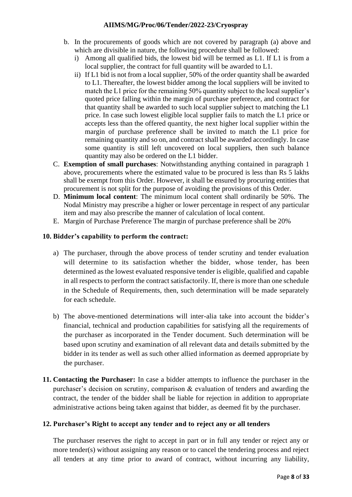- b. In the procurements of goods which are not covered by paragraph (a) above and which are divisible in nature, the following procedure shall be followed:
	- i) Among all qualified bids, the lowest bid will be termed as L1. If L1 is from a local supplier, the contract for full quantity will be awarded to L1.
	- ii) If L1 bid is not from a local supplier, 50% of the order quantity shall be awarded to L1. Thereafter, the lowest bidder among the local suppliers will be invited to match the L1 price for the remaining 50% quantity subject to the local supplier's quoted price falling within the margin of purchase preference, and contract for that quantity shall be awarded to such local supplier subject to matching the L1 price. In case such lowest eligible local supplier fails to match the L1 price or accepts less than the offered quantity, the next higher local supplier within the margin of purchase preference shall be invited to match the L1 price for remaining quantity and so on, and contract shall be awarded accordingly. In case some quantity is still left uncovered on local suppliers, then such balance quantity may also be ordered on the L1 bidder.
- C. **Exemption of small purchases**: Notwithstanding anything contained in paragraph 1 above, procurements where the estimated value to be procured is less than Rs 5 lakhs shall be exempt from this Order. However, it shall be ensured by procuring entities that procurement is not split for the purpose of avoiding the provisions of this Order.
- D. **Minimum local content**: The minimum local content shall ordinarily be 50%. The Nodal Ministry may prescribe a higher or lower percentage in respect of any particular item and may also prescribe the manner of calculation of local content.
- E. Margin of Purchase Preference The margin of purchase preference shall be 20%

# **10. Bidder's capability to perform the contract:**

- a) The purchaser, through the above process of tender scrutiny and tender evaluation will determine to its satisfaction whether the bidder, whose tender, has been determined as the lowest evaluated responsive tender is eligible, qualified and capable in all respects to perform the contract satisfactorily. If, there is more than one schedule in the Schedule of Requirements, then, such determination will be made separately for each schedule.
- b) The above-mentioned determinations will inter-alia take into account the bidder's financial, technical and production capabilities for satisfying all the requirements of the purchaser as incorporated in the Tender document. Such determination will be based upon scrutiny and examination of all relevant data and details submitted by the bidder in its tender as well as such other allied information as deemed appropriate by the purchaser.
- **11. Contacting the Purchaser:** In case a bidder attempts to influence the purchaser in the purchaser's decision on scrutiny, comparison & evaluation of tenders and awarding the contract, the tender of the bidder shall be liable for rejection in addition to appropriate administrative actions being taken against that bidder, as deemed fit by the purchaser.

#### **12. Purchaser's Right to accept any tender and to reject any or all tenders**

The purchaser reserves the right to accept in part or in full any tender or reject any or more tender(s) without assigning any reason or to cancel the tendering process and reject all tenders at any time prior to award of contract, without incurring any liability,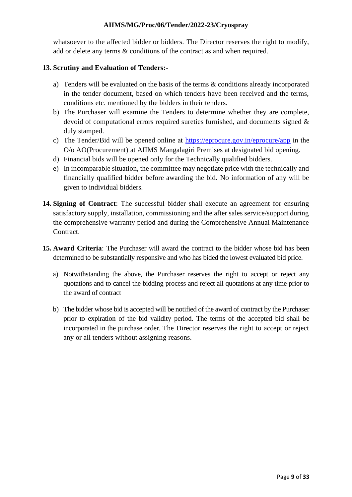whatsoever to the affected bidder or bidders. The Director reserves the right to modify, add or delete any terms & conditions of the contract as and when required.

## **13. Scrutiny and Evaluation of Tenders:-**

- a) Tenders will be evaluated on the basis of the terms & conditions already incorporated in the tender document, based on which tenders have been received and the terms, conditions etc. mentioned by the bidders in their tenders.
- b) The Purchaser will examine the Tenders to determine whether they are complete, devoid of computational errors required sureties furnished, and documents signed & duly stamped.
- c) The Tender/Bid will be opened online at<https://eprocure.gov.in/eprocure/app> in the O/o AO(Procurement) at AIIMS Mangalagiri Premises at designated bid opening.
- d) Financial bids will be opened only for the Technically qualified bidders.
- e) In incomparable situation, the committee may negotiate price with the technically and financially qualified bidder before awarding the bid. No information of any will be given to individual bidders.
- **14. Signing of Contract**: The successful bidder shall execute an agreement for ensuring satisfactory supply, installation, commissioning and the after sales service/support during the comprehensive warranty period and during the Comprehensive Annual Maintenance Contract.
- **15. Award Criteria**: The Purchaser will award the contract to the bidder whose bid has been determined to be substantially responsive and who has bided the lowest evaluated bid price.
	- a) Notwithstanding the above, the Purchaser reserves the right to accept or reject any quotations and to cancel the bidding process and reject all quotations at any time prior to the award of contract
	- b) The bidder whose bid is accepted will be notified of the award of contract by the Purchaser prior to expiration of the bid validity period. The terms of the accepted bid shall be incorporated in the purchase order. The Director reserves the right to accept or reject any or all tenders without assigning reasons.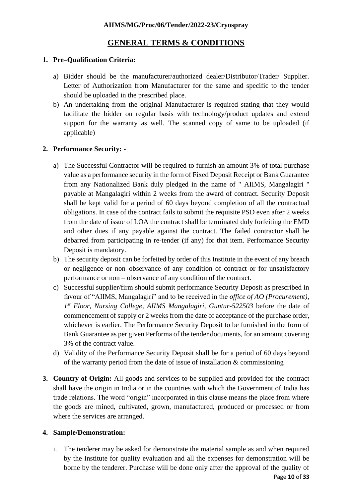# **GENERAL TERMS & CONDITIONS**

# **1. Pre–Qualification Criteria:**

- a) Bidder should be the manufacturer/authorized dealer/Distributor/Trader/ Supplier. Letter of Authorization from Manufacturer for the same and specific to the tender should be uploaded in the prescribed place.
- b) An undertaking from the original Manufacturer is required stating that they would facilitate the bidder on regular basis with technology/product updates and extend support for the warranty as well. The scanned copy of same to be uploaded (if applicable)

# **2. Performance Security: -**

- a) The Successful Contractor will be required to furnish an amount 3% of total purchase value as a performance security in the form of Fixed Deposit Receipt or Bank Guarantee from any Nationalized Bank duly pledged in the name of " AIIMS, Mangalagiri " payable at Mangalagiri within 2 weeks from the award of contract. Security Deposit shall be kept valid for a period of 60 days beyond completion of all the contractual obligations. In case of the contract fails to submit the requisite PSD even after 2 weeks from the date of issue of LOA the contract shall be terminated duly forfeiting the EMD and other dues if any payable against the contract. The failed contractor shall be debarred from participating in re-tender (if any) for that item. Performance Security Deposit is mandatory.
- b) The security deposit can be forfeited by order of this Institute in the event of any breach or negligence or non–observance of any condition of contract or for unsatisfactory performance or non – observance of any condition of the contract.
- c) Successful supplier/firm should submit performance Security Deposit as prescribed in favour of "AIIMS, Mangalagiri" and to be received in the *office of AO (Procurement), 1 st Floor, Nursing College, AIIMS Mangalagiri, Guntur-522503* before the date of commencement of supply or 2 weeks from the date of acceptance of the purchase order, whichever is earlier. The Performance Security Deposit to be furnished in the form of Bank Guarantee as per given Performa of the tender documents, for an amount covering 3% of the contract value.
- d) Validity of the Performance Security Deposit shall be for a period of 60 days beyond of the warranty period from the date of issue of installation  $\&$  commissioning
- **3. Country of Origin:** All goods and services to be supplied and provided for the contract shall have the origin in India or in the countries with which the Government of India has trade relations. The word "origin" incorporated in this clause means the place from where the goods are mined, cultivated, grown, manufactured, produced or processed or from where the services are arranged.

#### **4. Sample/Demonstration:**

i. The tenderer may be asked for demonstrate the material sample as and when required by the Institute for quality evaluation and all the expenses for demonstration will be borne by the tenderer. Purchase will be done only after the approval of the quality of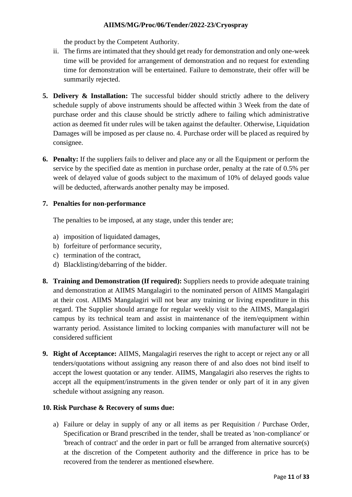the product by the Competent Authority.

- ii. The firms are intimated that they should get ready for demonstration and only one-week time will be provided for arrangement of demonstration and no request for extending time for demonstration will be entertained. Failure to demonstrate, their offer will be summarily rejected.
- **5. Delivery & Installation:** The successful bidder should strictly adhere to the delivery schedule supply of above instruments should be affected within 3 Week from the date of purchase order and this clause should be strictly adhere to failing which administrative action as deemed fit under rules will be taken against the defaulter. Otherwise, Liquidation Damages will be imposed as per clause no. 4. Purchase order will be placed as required by consignee.
- **6. Penalty:** If the suppliers fails to deliver and place any or all the Equipment or perform the service by the specified date as mention in purchase order, penalty at the rate of 0.5% per week of delayed value of goods subject to the maximum of 10% of delayed goods value will be deducted, afterwards another penalty may be imposed.

# **7. Penalties for non-performance**

The penalties to be imposed, at any stage, under this tender are;

- a) imposition of liquidated damages,
- b) forfeiture of performance security,
- c) termination of the contract,
- d) Blacklisting/debarring of the bidder.
- **8. Training and Demonstration (If required):** Suppliers needs to provide adequate training and demonstration at AIIMS Mangalagiri to the nominated person of AIIMS Mangalagiri at their cost. AIIMS Mangalagiri will not bear any training or living expenditure in this regard. The Supplier should arrange for regular weekly visit to the AIIMS, Mangalagiri campus by its technical team and assist in maintenance of the item/equipment within warranty period. Assistance limited to locking companies with manufacturer will not be considered sufficient
- **9. Right of Acceptance:** AIIMS, Mangalagiri reserves the right to accept or reject any or all tenders/quotations without assigning any reason there of and also does not bind itself to accept the lowest quotation or any tender. AIIMS, Mangalagiri also reserves the rights to accept all the equipment/instruments in the given tender or only part of it in any given schedule without assigning any reason.

# **10. Risk Purchase & Recovery of sums due:**

a) Failure or delay in supply of any or all items as per Requisition / Purchase Order, Specification or Brand prescribed in the tender, shall be treated as 'non-compliance' or 'breach of contract' and the order in part or full be arranged from alternative source(s) at the discretion of the Competent authority and the difference in price has to be recovered from the tenderer as mentioned elsewhere.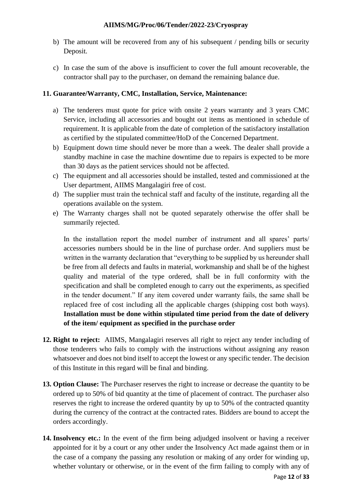- b) The amount will be recovered from any of his subsequent / pending bills or security Deposit.
- c) In case the sum of the above is insufficient to cover the full amount recoverable, the contractor shall pay to the purchaser, on demand the remaining balance due.

# **11. Guarantee/Warranty, CMC, Installation, Service, Maintenance:**

- a) The tenderers must quote for price with onsite 2 years warranty and 3 years CMC Service, including all accessories and bought out items as mentioned in schedule of requirement. It is applicable from the date of completion of the satisfactory installation as certified by the stipulated committee/HoD of the Concerned Department.
- b) Equipment down time should never be more than a week. The dealer shall provide a standby machine in case the machine downtime due to repairs is expected to be more than 30 days as the patient services should not be affected.
- c) The equipment and all accessories should be installed, tested and commissioned at the User department, AIIMS Mangalagiri free of cost.
- d) The supplier must train the technical staff and faculty of the institute, regarding all the operations available on the system.
- e) The Warranty charges shall not be quoted separately otherwise the offer shall be summarily rejected.

In the installation report the model number of instrument and all spares' parts/ accessories numbers should be in the line of purchase order. And suppliers must be written in the warranty declaration that "everything to be supplied by us hereunder shall be free from all defects and faults in material, workmanship and shall be of the highest quality and material of the type ordered, shall be in full conformity with the specification and shall be completed enough to carry out the experiments, as specified in the tender document." If any item covered under warranty fails, the same shall be replaced free of cost including all the applicable charges (shipping cost both ways). **Installation must be done within stipulated time period from the date of delivery of the item/ equipment as specified in the purchase order**

- **12. Right to reject:** AIIMS, Mangalagiri reserves all right to reject any tender including of those tenderers who fails to comply with the instructions without assigning any reason whatsoever and does not bind itself to accept the lowest or any specific tender. The decision of this Institute in this regard will be final and binding.
- **13. Option Clause:** The Purchaser reserves the right to increase or decrease the quantity to be ordered up to 50% of bid quantity at the time of placement of contract. The purchaser also reserves the right to increase the ordered quantity by up to 50% of the contracted quantity during the currency of the contract at the contracted rates. Bidders are bound to accept the orders accordingly.
- **14. Insolvency etc.:** In the event of the firm being adjudged insolvent or having a receiver appointed for it by a court or any other under the Insolvency Act made against them or in the case of a company the passing any resolution or making of any order for winding up, whether voluntary or otherwise, or in the event of the firm failing to comply with any of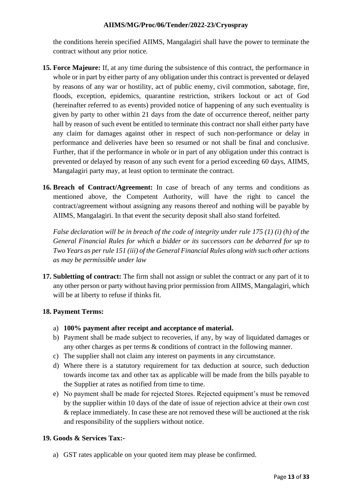the conditions herein specified AIIMS, Mangalagiri shall have the power to terminate the contract without any prior notice.

- **15. Force Majeure:** If, at any time during the subsistence of this contract, the performance in whole or in part by either party of any obligation under this contract is prevented or delayed by reasons of any war or hostility, act of public enemy, civil commotion, sabotage, fire, floods, exception, epidemics, quarantine restriction, strikers lockout or act of God (hereinafter referred to as events) provided notice of happening of any such eventuality is given by party to other within 21 days from the date of occurrence thereof, neither party hall by reason of such event be entitled to terminate this contract nor shall either party have any claim for damages against other in respect of such non-performance or delay in performance and deliveries have been so resumed or not shall be final and conclusive. Further, that if the performance in whole or in part of any obligation under this contract is prevented or delayed by reason of any such event for a period exceeding 60 days, AIIMS, Mangalagiri party may, at least option to terminate the contract.
- **16. Breach of Contract/Agreement:** In case of breach of any terms and conditions as mentioned above, the Competent Authority, will have the right to cancel the contract/agreement without assigning any reasons thereof and nothing will be payable by AIIMS, Mangalagiri. In that event the security deposit shall also stand forfeited.

*False declaration will be in breach of the code of integrity under rule 175 (1) (i) (h) of the General Financial Rules for which a bidder or its successors can be debarred for up to Two Years as per rule 151 (iii) of the General Financial Rules along with such other actions as may be permissible under law*

**17. Subletting of contract:** The firm shall not assign or sublet the contract or any part of it to any other person or party without having prior permission from AIIMS, Mangalagiri, which will be at liberty to refuse if thinks fit.

# **18. Payment Terms:**

- a) **100% payment after receipt and acceptance of material.**
- b) Payment shall be made subject to recoveries, if any, by way of liquidated damages or any other charges as per terms & conditions of contract in the following manner.
- c) The supplier shall not claim any interest on payments in any circumstance.
- d) Where there is a statutory requirement for tax deduction at source, such deduction towards income tax and other tax as applicable will be made from the bills payable to the Supplier at rates as notified from time to time.
- e) No payment shall be made for rejected Stores. Rejected equipment's must be removed by the supplier within 10 days of the date of issue of rejection advice at their own cost & replace immediately. In case these are not removed these will be auctioned at the risk and responsibility of the suppliers without notice.

# **19. Goods & Services Tax:-**

a) GST rates applicable on your quoted item may please be confirmed.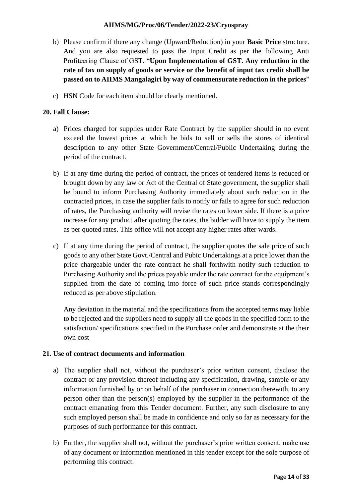- b) Please confirm if there any change (Upward/Reduction) in your **Basic Price** structure. And you are also requested to pass the Input Credit as per the following Anti Profiteering Clause of GST. "**Upon Implementation of GST. Any reduction in the rate of tax on supply of goods or service or the benefit of input tax credit shall be passed on to AIIMS Mangalagiri by way of commensurate reduction in the prices**"
- c) HSN Code for each item should be clearly mentioned.

# **20. Fall Clause:**

- a) Prices charged for supplies under Rate Contract by the supplier should in no event exceed the lowest prices at which he bids to sell or sells the stores of identical description to any other State Government/Central/Public Undertaking during the period of the contract.
- b) If at any time during the period of contract, the prices of tendered items is reduced or brought down by any law or Act of the Central of State government, the supplier shall be bound to inform Purchasing Authority immediately about such reduction in the contracted prices, in case the supplier fails to notify or fails to agree for such reduction of rates, the Purchasing authority will revise the rates on lower side. If there is a price increase for any product after quoting the rates, the bidder will have to supply the item as per quoted rates. This office will not accept any higher rates after wards.
- c) If at any time during the period of contract, the supplier quotes the sale price of such goods to any other State Govt./Central and Pubic Undertakings at a price lower than the price chargeable under the rate contract he shall forthwith notify such reduction to Purchasing Authority and the prices payable under the rate contract for the equipment's supplied from the date of coming into force of such price stands correspondingly reduced as per above stipulation.

Any deviation in the material and the specifications from the accepted terms may liable to be rejected and the suppliers need to supply all the goods in the specified form to the satisfaction/ specifications specified in the Purchase order and demonstrate at the their own cost

# **21. Use of contract documents and information**

- a) The supplier shall not, without the purchaser's prior written consent, disclose the contract or any provision thereof including any specification, drawing, sample or any information furnished by or on behalf of the purchaser in connection therewith, to any person other than the person(s) employed by the supplier in the performance of the contract emanating from this Tender document. Further, any such disclosure to any such employed person shall be made in confidence and only so far as necessary for the purposes of such performance for this contract.
- b) Further, the supplier shall not, without the purchaser's prior written consent, make use of any document or information mentioned in this tender except for the sole purpose of performing this contract.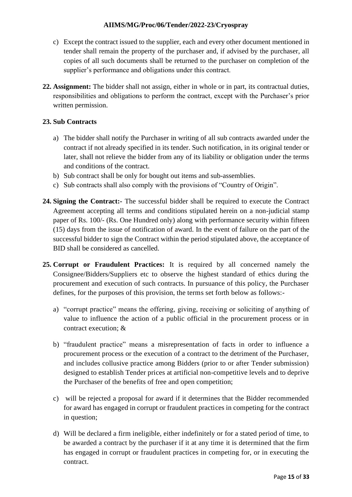- c) Except the contract issued to the supplier, each and every other document mentioned in tender shall remain the property of the purchaser and, if advised by the purchaser, all copies of all such documents shall be returned to the purchaser on completion of the supplier's performance and obligations under this contract.
- **22. Assignment:** The bidder shall not assign, either in whole or in part, its contractual duties, responsibilities and obligations to perform the contract, except with the Purchaser's prior written permission.

# **23. Sub Contracts**

- a) The bidder shall notify the Purchaser in writing of all sub contracts awarded under the contract if not already specified in its tender. Such notification, in its original tender or later, shall not relieve the bidder from any of its liability or obligation under the terms and conditions of the contract.
- b) Sub contract shall be only for bought out items and sub-assemblies.
- c) Sub contracts shall also comply with the provisions of "Country of Origin".
- **24. Signing the Contract:-** The successful bidder shall be required to execute the Contract Agreement accepting all terms and conditions stipulated herein on a non-judicial stamp paper of Rs. 100/- (Rs. One Hundred only) along with performance security within fifteen (15) days from the issue of notification of award. In the event of failure on the part of the successful bidder to sign the Contract within the period stipulated above, the acceptance of BID shall be considered as cancelled.
- **25. Corrupt or Fraudulent Practices:** It is required by all concerned namely the Consignee/Bidders/Suppliers etc to observe the highest standard of ethics during the procurement and execution of such contracts. In pursuance of this policy, the Purchaser defines, for the purposes of this provision, the terms set forth below as follows:
	- a) "corrupt practice" means the offering, giving, receiving or soliciting of anything of value to influence the action of a public official in the procurement process or in contract execution; &
	- b) "fraudulent practice" means a misrepresentation of facts in order to influence a procurement process or the execution of a contract to the detriment of the Purchaser, and includes collusive practice among Bidders (prior to or after Tender submission) designed to establish Tender prices at artificial non-competitive levels and to deprive the Purchaser of the benefits of free and open competition;
	- c) will be rejected a proposal for award if it determines that the Bidder recommended for award has engaged in corrupt or fraudulent practices in competing for the contract in question;
	- d) Will be declared a firm ineligible, either indefinitely or for a stated period of time, to be awarded a contract by the purchaser if it at any time it is determined that the firm has engaged in corrupt or fraudulent practices in competing for, or in executing the contract.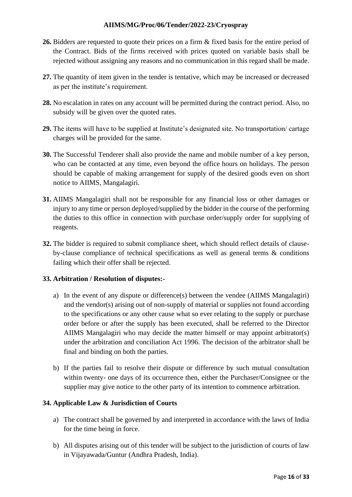- **26.** Bidders are requested to quote their prices on a firm & fixed basis for the entire period of the Contract. Bids of the firms received with prices quoted on variable basis shall be rejected without assigning any reasons and no communication in this regard shall be made.
- **27.** The quantity of item given in the tender is tentative, which may be increased or decreased as per the institute's requirement.
- **28.** No escalation in rates on any account will be permitted during the contract period. Also, no subsidy will be given over the quoted rates.
- **29.** The items will have to be supplied at Institute's designated site. No transportation/ cartage charges will be provided for the same.
- **30.** The Successful Tenderer shall also provide the name and mobile number of a key person, who can be contacted at any time, even beyond the office hours on holidays. The person should be capable of making arrangement for supply of the desired goods even on short notice to AIIMS, Mangalagiri.
- **31.** AIIMS Mangalagiri shall not be responsible for any financial loss or other damages or injury to any time or person deployed/supplied by the bidder in the course of the performing the duties to this office in connection with purchase order/supply order for supplying of reagents.
- **32.** The bidder is required to submit compliance sheet, which should reflect details of clauseby-clause compliance of technical specifications as well as general terms & conditions failing which their offer shall be rejected.

# **33. Arbitration / Resolution of disputes:-**

- a) In the event of any dispute or difference(s) between the vendee (AIIMS Mangalagiri) and the vendor(s) arising out of non-supply of material or supplies not found according to the specifications or any other cause what so ever relating to the supply or purchase order before or after the supply has been executed, shall be referred to the Director AIIMS Mangalagiri who may decide the matter himself or may appoint arbitrator(s) under the arbitration and conciliation Act 1996. The decision of the arbitrator shall be final and binding on both the parties.
- b) If the parties fail to resolve their dispute or difference by such mutual consultation within twenty- one days of its occurrence then, either the Purchaser/Consignee or the supplier may give notice to the other party of its intention to commence arbitration.

# **34. Applicable Law & Jurisdiction of Courts**

- a) The contract shall be governed by and interpreted in accordance with the laws of India for the time being in force.
- b) All disputes arising out of this tender will be subject to the jurisdiction of courts of law in Vijayawada/Guntur (Andhra Pradesh, India).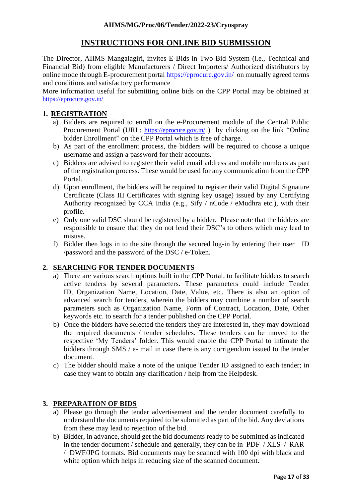# **INSTRUCTIONS FOR ONLINE BID SUBMISSION**

The Director, AIIMS Mangalagiri, invites E-Bids in Two Bid System (i.e., Technical and Financial Bid) from eligible Manufacturers / Direct Importers/ Authorized distributors by online mode through E-procurement portal<https://eprocure.gov.in/> on mutually agreed terms and conditions and satisfactory performance

More information useful for submitting online bids on the CPP Portal may be obtained at <https://eprocure.gov.in/>

# **1. REGISTRATION**

- a) Bidders are required to enroll on the e-Procurement module of the Central Public Procurement Portal (URL: <https://eprocure.gov.in/>) by clicking on the link "Online" bidder Enrollment" on the CPP Portal which is free of charge.
- b) As part of the enrollment process, the bidders will be required to choose a unique username and assign a password for their accounts.
- c) Bidders are advised to register their valid email address and mobile numbers as part of the registration process. These would be used for any communication from the CPP Portal.
- d) Upon enrollment, the bidders will be required to register their valid Digital Signature Certificate (Class III Certificates with signing key usage) issued by any Certifying Authority recognized by CCA India (e.g., Sify / nCode / eMudhra etc.), with their profile.
- e) Only one valid DSC should be registered by a bidder. Please note that the bidders are responsible to ensure that they do not lend their DSC's to others which may lead to misuse.
- f) Bidder then logs in to the site through the secured log-in by entering their user ID /password and the password of the DSC / e-Token.

# **2. SEARCHING FOR TENDER DOCUMENTS**

- a) There are various search options built in the CPP Portal, to facilitate bidders to search active tenders by several parameters. These parameters could include Tender ID, Organization Name, Location, Date, Value, etc. There is also an option of advanced search for tenders, wherein the bidders may combine a number of search parameters such as Organization Name, Form of Contract, Location, Date, Other keywords etc. to search for a tender published on the CPP Portal.
- b) Once the bidders have selected the tenders they are interested in, they may download the required documents / tender schedules. These tenders can be moved to the respective 'My Tenders' folder. This would enable the CPP Portal to intimate the bidders through SMS / e- mail in case there is any corrigendum issued to the tender document.
- c) The bidder should make a note of the unique Tender ID assigned to each tender; in case they want to obtain any clarification / help from the Helpdesk.

# **3. PREPARATION OF BIDS**

- a) Please go through the tender advertisement and the tender document carefully to understand the documents required to be submitted as part of the bid. Any deviations from these may lead to rejection of the bid.
- b) Bidder, in advance, should get the bid documents ready to be submitted as indicated in the tender document / schedule and generally, they can be in PDF / XLS / RAR / DWF/JPG formats. Bid documents may be scanned with 100 dpi with black and white option which helps in reducing size of the scanned document.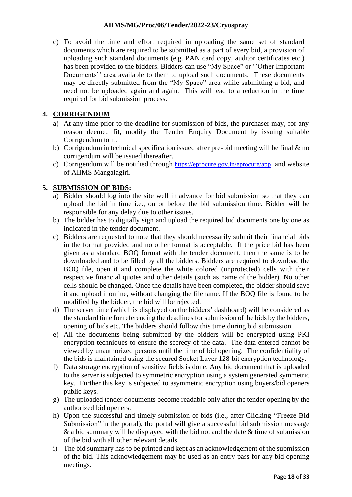c) To avoid the time and effort required in uploading the same set of standard documents which are required to be submitted as a part of every bid, a provision of uploading such standard documents (e.g. PAN card copy, auditor certificates etc.) has been provided to the bidders. Bidders can use "My Space" or "Other Important" Documents'' area available to them to upload such documents. These documents may be directly submitted from the "My Space" area while submitting a bid, and need not be uploaded again and again. This will lead to a reduction in the time required for bid submission process.

# **4. CORRIGENDUM**

- a) At any time prior to the deadline for submission of bids, the purchaser may, for any reason deemed fit, modify the Tender Enquiry Document by issuing suitable Corrigendum to it.
- b) Corrigendum in technical specification issued after pre-bid meeting will be final  $\&$  no corrigendum will be issued thereafter.
- c) Corrigendum will be notified through <https://eprocure.gov.in/eprocure/app> and website of AIIMS Mangalagiri.

# **5. SUBMISSION OF BIDS:**

- a) Bidder should log into the site well in advance for bid submission so that they can upload the bid in time i.e., on or before the bid submission time. Bidder will be responsible for any delay due to other issues.
- b) The bidder has to digitally sign and upload the required bid documents one by one as indicated in the tender document.
- c) Bidders are requested to note that they should necessarily submit their financial bids in the format provided and no other format is acceptable. If the price bid has been given as a standard BOQ format with the tender document, then the same is to be downloaded and to be filled by all the bidders. Bidders are required to download the BOQ file, open it and complete the white colored (unprotected) cells with their respective financial quotes and other details (such as name of the bidder). No other cells should be changed. Once the details have been completed, the bidder should save it and upload it online, without changing the filename. If the BOQ file is found to be modified by the bidder, the bid will be rejected.
- d) The server time (which is displayed on the bidders' dashboard) will be considered as the standard time for referencing the deadlines for submission of the bids by the bidders, opening of bids etc. The bidders should follow this time during bid submission.
- e) All the documents being submitted by the bidders will be encrypted using PKI encryption techniques to ensure the secrecy of the data. The data entered cannot be viewed by unauthorized persons until the time of bid opening. The confidentiality of the bids is maintained using the secured Socket Layer 128-bit encryption technology.
- f) Data storage encryption of sensitive fields is done. Any bid document that is uploaded to the server is subjected to symmetric encryption using a system generated symmetric key. Further this key is subjected to asymmetric encryption using buyers/bid openers public keys.
- g) The uploaded tender documents become readable only after the tender opening by the authorized bid openers.
- h) Upon the successful and timely submission of bids (i.e., after Clicking "Freeze Bid Submission" in the portal), the portal will give a successful bid submission message  $\&$  a bid summary will be displayed with the bid no. and the date  $\&$  time of submission of the bid with all other relevant details.
- i) The bid summary has to be printed and kept as an acknowledgement of the submission of the bid. This acknowledgement may be used as an entry pass for any bid opening meetings.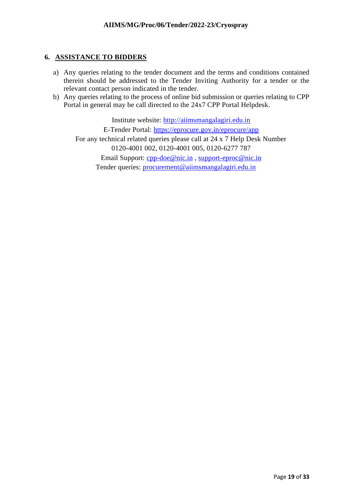# **6. ASSISTANCE TO BIDDERS**

- a) Any queries relating to the tender document and the terms and conditions contained therein should be addressed to the Tender Inviting Authority for a tender or the relevant contact person indicated in the tender.
- b) Any queries relating to the process of online bid submission or queries relating to CPP Portal in general may be call directed to the 24x7 CPP Portal Helpdesk.

Institute website: [http://aiimsmangalagiri.edu.in](http://aiimsmangalagiri.edu.in/) E-Tender Portal: <https://eprocure.gov.in/eprocure/app> For any technical related queries please call at 24 x 7 Help Desk Number 0120-4001 002, 0120-4001 005, 0120-6277 787 Email Support: [cpp-doe@nic.in](mailto:cpp-doe@nic.in) , [support-eproc@nic.in](mailto:support-eproc@nic.in) Tender queries: [procurement@aiimsmangalagiri.edu.in](mailto:procurement@aiimsmangalagiri.edu.in)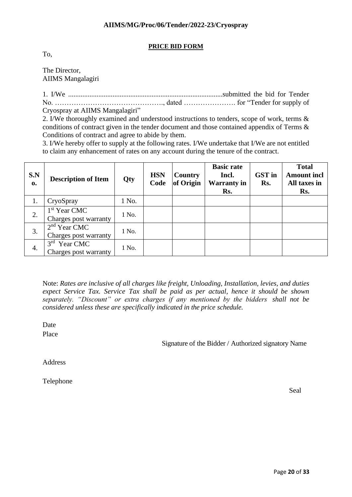To,

**PRICE BID FORM**

The Director, AIIMS Mangalagiri

1. I/We .......................................................................................submitted the bid for Tender No. ………………………………………., dated …………………. for "Tender for supply of Cryospray at AIIMS Mangalagiri"

2. I/We thoroughly examined and understood instructions to tenders, scope of work, terms & conditions of contract given in the tender document and those contained appendix of Terms & Conditions of contract and agree to abide by them.

3. I/We hereby offer to supply at the following rates. I/We undertake that I/We are not entitled to claim any enhancement of rates on any account during the tenure of the contract.

| S.N<br>0. | <b>Description of Item</b>                        | Qty   | <b>HSN</b><br>Code | Country<br>of Origin | <b>Basic rate</b><br>Incl.<br><b>Warranty</b> in<br>Rs. | <b>GST</b> in<br>Rs. | <b>Total</b><br><b>Amount incl</b><br>All taxes in<br>Rs. |
|-----------|---------------------------------------------------|-------|--------------------|----------------------|---------------------------------------------------------|----------------------|-----------------------------------------------------------|
| 1.        | CryoSpray                                         | 1 No. |                    |                      |                                                         |                      |                                                           |
| 2.        | 1 <sup>st</sup> Year CMC<br>Charges post warranty | 1 No. |                    |                      |                                                         |                      |                                                           |
| 3.        | $2nd$ Year CMC<br>Charges post warranty           | 1 No. |                    |                      |                                                         |                      |                                                           |
| 4.        | $3rd$ Year CMC<br>Charges post warranty           | 1 No. |                    |                      |                                                         |                      |                                                           |

Note: *Rates are inclusive of all charges like freight, Unloading, Installation, levies, and duties expect Service Tax. Service Tax shall be paid as per actual, hence it should be shown separately. "Discount" or extra charges if any mentioned by the bidders shall not be considered unless these are specifically indicated in the price schedule.*

Date Place

Signature of the Bidder / Authorized signatory Name

Address

Telephone

Seal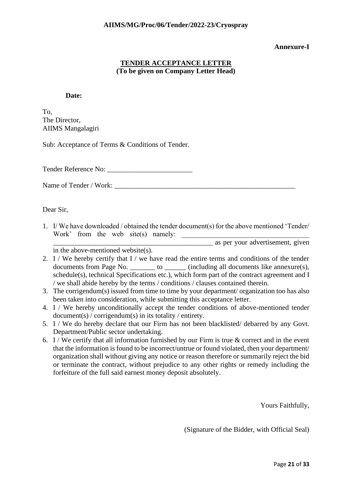#### **Annexure-I**

#### **TENDER ACCEPTANCE LETTER (To be given on Company Letter Head)**

#### **Date:**

To, The Director, AIIMS Mangalagiri

Sub: Acceptance of Terms & Conditions of Tender.

Tender Reference No: \_\_\_\_\_\_\_\_\_\_\_\_\_\_\_\_\_\_\_\_\_\_\_\_

Name of Tender / Work:

Dear Sir,

1. I/ We have downloaded / obtained the tender document(s) for the above mentioned 'Tender/ Work' from the web site(s) namely:

\_\_\_\_\_\_\_\_\_\_\_\_\_\_\_\_\_\_\_\_\_\_\_\_\_\_\_\_\_\_\_\_\_\_\_\_\_\_\_\_\_\_\_\_\_ as per your advertisement, given

in the above-mentioned website(s).

- 2. I / We hereby certify that I / we have read the entire terms and conditions of the tender documents from Page No. \_\_\_\_\_\_\_ to \_\_\_\_\_\_ (including all documents like annexure(s), schedule(s), technical Specifications etc.), which form part of the contract agreement and I / we shall abide hereby by the terms / conditions / clauses contained therein.
- 3. The corrigendum(s) issued from time to time by your department/ organization too has also been taken into consideration, while submitting this acceptance letter.
- 4. I / We hereby unconditionally accept the tender conditions of above-mentioned tender document(s) / corrigendum(s) in its totality / entirety.
- 5. I / We do hereby declare that our Firm has not been blacklisted/ debarred by any Govt. Department/Public sector undertaking.
- 6. I / We certify that all information furnished by our Firm is true  $\&$  correct and in the event that the information is found to be incorrect/untrue or found violated, then your department/ organization shall without giving any notice or reason therefore or summarily reject the bid or terminate the contract, without prejudice to any other rights or remedy including the forfeiture of the full said earnest money deposit absolutely.

Yours Faithfully,

(Signature of the Bidder, with Official Seal)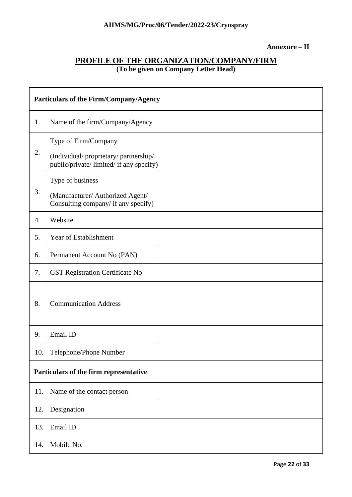**Annexure – II** 

# **PROFILE OF THE ORGANIZATION/COMPANY/FIRM (To be given on Company Letter Head)**

|     | Particulars of the Firm/Company/Agency                                           |  |  |  |  |
|-----|----------------------------------------------------------------------------------|--|--|--|--|
| 1.  | Name of the firm/Company/Agency                                                  |  |  |  |  |
|     | Type of Firm/Company                                                             |  |  |  |  |
| 2.  | (Individual/proprietary/partnership/<br>public/private/ limited/ if any specify) |  |  |  |  |
|     | Type of business                                                                 |  |  |  |  |
| 3.  | (Manufacturer/ Authorized Agent/<br>Consulting company/ if any specify)          |  |  |  |  |
| 4.  | Website                                                                          |  |  |  |  |
| 5.  | Year of Establishment                                                            |  |  |  |  |
| 6.  | Permanent Account No (PAN)                                                       |  |  |  |  |
| 7.  | <b>GST Registration Certificate No</b>                                           |  |  |  |  |
| 8.  | <b>Communication Address</b>                                                     |  |  |  |  |
| 9.  | Email ID                                                                         |  |  |  |  |
| 10. | Telephone/Phone Number                                                           |  |  |  |  |
|     | Particulars of the firm representative                                           |  |  |  |  |
| 11. | Name of the contact person                                                       |  |  |  |  |
| 12. | Designation                                                                      |  |  |  |  |
| 13. | Email ID                                                                         |  |  |  |  |
| 14. | Mobile No.                                                                       |  |  |  |  |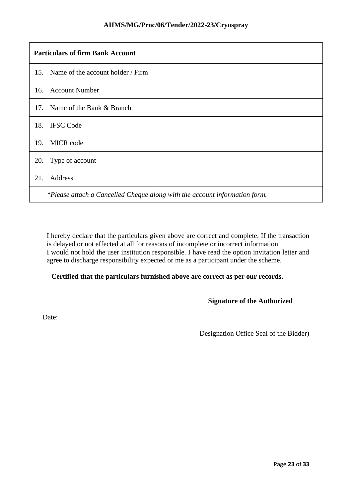|     | <b>Particulars of firm Bank Account</b>                                    |  |  |  |  |
|-----|----------------------------------------------------------------------------|--|--|--|--|
| 15. | Name of the account holder / Firm                                          |  |  |  |  |
| 16. | <b>Account Number</b>                                                      |  |  |  |  |
| 17. | Name of the Bank & Branch                                                  |  |  |  |  |
| 18. | <b>IFSC</b> Code                                                           |  |  |  |  |
| 19. | <b>MICR</b> code                                                           |  |  |  |  |
| 20. | Type of account                                                            |  |  |  |  |
| 21. | Address                                                                    |  |  |  |  |
|     | *Please attach a Cancelled Cheque along with the account information form. |  |  |  |  |

I hereby declare that the particulars given above are correct and complete. If the transaction is delayed or not effected at all for reasons of incomplete or incorrect information I would not hold the user institution responsible. I have read the option invitation letter and agree to discharge responsibility expected or me as a participant under the scheme.

#### **Certified that the particulars furnished above are correct as per our records.**

#### **Signature of the Authorized**

Date:

Designation Office Seal of the Bidder)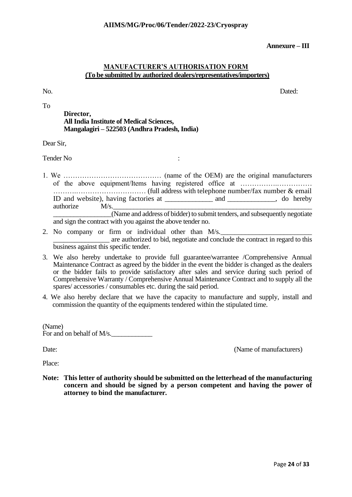**Annexure – III**

#### **MANUFACTURER'S AUTHORISATION FORM (To be submitted by authorized dealers/representatives/importers)**

To

# **Director, All India Institute of Medical Sciences, Mangalagiri – 522503 (Andhra Pradesh, India)**

Dear Sir,

Tender No  $\qquad \qquad$ :

1. We …………………………………… (name of the OEM) are the original manufacturers of the above equipment/Items having registered office at …………….…………… ……….………………………… (full address with telephone number/fax number & email ID and website), having factories at \_\_\_\_\_\_\_\_\_\_\_\_\_\_ and \_\_\_\_\_\_\_\_\_\_\_\_\_\_, do hereby  $\text{authorize}$   $\text{M/s.}$ 

\_\_\_\_\_\_\_\_\_\_\_\_\_\_\_\_\_(Name and address of bidder) to submit tenders, and subsequently negotiate and sign the contract with you against the above tender no.

- 2. No company or firm or individual other than  $M/s$ . \_\_\_\_\_\_\_\_\_\_\_\_\_\_\_\_ are authorized to bid, negotiate and conclude the contract in regard to this business against this specific tender.
- 3. We also hereby undertake to provide full guarantee/warrantee /Comprehensive Annual Maintenance Contract as agreed by the bidder in the event the bidder is changed as the dealers or the bidder fails to provide satisfactory after sales and service during such period of Comprehensive Warranty / Comprehensive Annual Maintenance Contract and to supply all the spares/ accessories / consumables etc. during the said period.
- 4. We also hereby declare that we have the capacity to manufacture and supply, install and commission the quantity of the equipments tendered within the stipulated time.

(Name) For and on behalf of M/s.

Date: (Name of manufacturers)

Place:

**Note: This letter of authority should be submitted on the letterhead of the manufacturing concern and should be signed by a person competent and having the power of attorney to bind the manufacturer.**

No. Dated: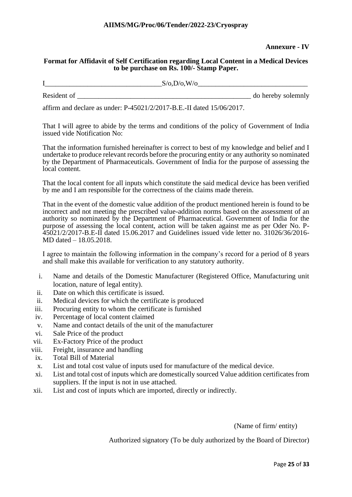#### **Annexure - IV**

#### **Format for Affidavit of Self Certification regarding Local Content in a Medical Devices to be purchase on Rs. 100/- Stamp Paper.**

|             | S/O, D/O, W/O |                    |
|-------------|---------------|--------------------|
| Resident of |               | do hereby solemnly |

affirm and declare as under: P-45021/2/2017-B.E.-II dated 15/06/2017.

That I will agree to abide by the terms and conditions of the policy of Government of India issued vide Notification No:

That the information furnished hereinafter is correct to best of my knowledge and belief and I undertake to produce relevant records before the procuring entity or any authority so nominated by the Department of Pharmaceuticals. Government of India for the purpose of assessing the local content.

That the local content for all inputs which constitute the said medical device has been verified by me and I am responsible for the correctness of the claims made therein.

That in the event of the domestic value addition of the product mentioned herein is found to be incorrect and not meeting the prescribed value-addition norms based on the assessment of an authority so nominated by the Department of Pharmaceutical. Government of India for the purpose of assessing the local content, action will be taken against me as per Oder No. P-45021/2/2017-B.E-II dated 15.06.2017 and Guidelines issued vide letter no. 31026/36/2016- MD dated – 18.05.2018.

I agree to maintain the following information in the company's record for a period of 8 years and shall make this available for verification to any statutory authority.

- i. Name and details of the Domestic Manufacturer (Registered Office, Manufacturing unit location, nature of legal entity).
- ii. Date on which this certificate is issued.
- ii. Medical devices for which the certificate is produced
- iii. Procuring entity to whom the certificate is furnished
- iv. Percentage of local content claimed
- v. Name and contact details of the unit of the manufacturer
- vi. Sale Price of the product
- vii. Ex-Factory Price of the product
- viii. Freight, insurance and handling
- ix. Total Bill of Material
- x. List and total cost value of inputs used for manufacture of the medical device.
- xi. List and total cost of inputs which are domestically sourced Value addition certificates from suppliers. If the input is not in use attached.
- xii. List and cost of inputs which are imported, directly or indirectly.

(Name of firm/ entity)

Authorized signatory (To be duly authorized by the Board of Director)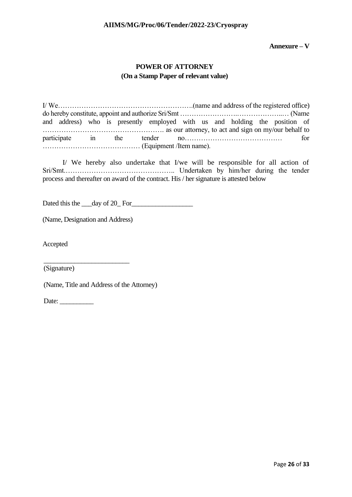#### **Annexure – V**

# **POWER OF ATTORNEY (On a Stamp Paper of relevant value)**

I/ We………………………………………………….(name and address of the registered office) do hereby constitute, appoint and authorize Sri/Smt …………………….………………..… (Name and address) who is presently employed with us and holding the position of ……………………………………………. as our attorney, to act and sign on my/our behalf to participate in the tender no…………………………………… for …………………………………… (Equipment /Item name).

I/ We hereby also undertake that I/we will be responsible for all action of Sri/Smt.……………………………………….. Undertaken by him/her during the tender process and thereafter on award of the contract. His / her signature is attested below

Dated this the day of 20 For

(Name, Designation and Address)

\_\_\_\_\_\_\_\_\_\_\_\_\_\_\_\_\_\_\_\_\_\_\_\_\_

Accepted

(Signature)

(Name, Title and Address of the Attorney)

Date: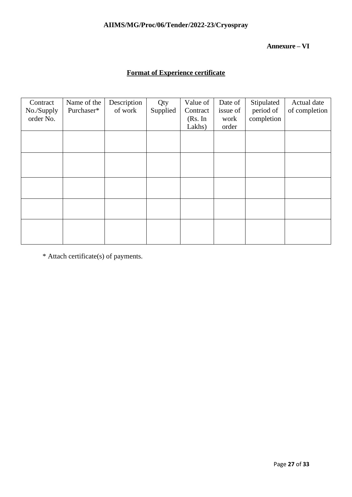# **Annexure – VI**

# **Format of Experience certificate**

| Contract   | Name of the | Description | Qty      | Value of | Date of  | Stipulated | Actual date   |
|------------|-------------|-------------|----------|----------|----------|------------|---------------|
| No./Supply | Purchaser*  | of work     | Supplied | Contract | issue of | period of  | of completion |
| order No.  |             |             |          | (Rs. In  | work     | completion |               |
|            |             |             |          | Lakhs)   | order    |            |               |
|            |             |             |          |          |          |            |               |
|            |             |             |          |          |          |            |               |
|            |             |             |          |          |          |            |               |
|            |             |             |          |          |          |            |               |
|            |             |             |          |          |          |            |               |
|            |             |             |          |          |          |            |               |
|            |             |             |          |          |          |            |               |
|            |             |             |          |          |          |            |               |
|            |             |             |          |          |          |            |               |
|            |             |             |          |          |          |            |               |
|            |             |             |          |          |          |            |               |
|            |             |             |          |          |          |            |               |

\* Attach certificate(s) of payments.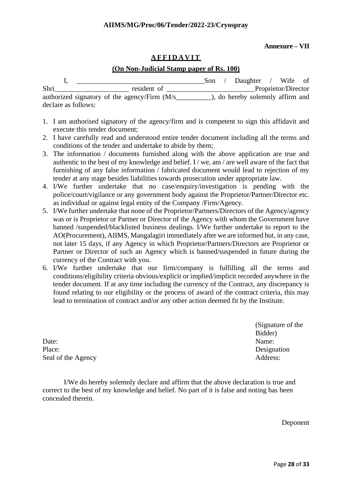#### **Annexure – VII**

# **A F F I D A V I T**

#### **(On Non-Judicial Stamp paper of Rs. 100)**

I, Son / Daughter / Wife of Shri<br>The structure of the contractor of the contractor of the contractor  $P$ roprietor/Director authorized signatory of the agency/Firm (M/s\_\_\_\_\_\_\_\_\_\_), do hereby solemnly affirm and declare as follows:

- 1. I am authorised signatory of the agency/firm and is competent to sign this affidavit and execute this tender document;
- 2. I have carefully read and understood entire tender document including all the terms and conditions of the tender and undertake to abide by them;
- 3. The information / documents furnished along with the above application are true and authentic to the best of my knowledge and belief. I / we, am / are well aware of the fact that furnishing of any false information / fabricated document would lead to rejection of my tender at any stage besides liabilities towards prosecution under appropriate law.
- 4. I/We further undertake that no case/enquiry/investigation is pending with the police/court/vigilance or any government body against the Proprietor/Partner/Director etc. as individual or against legal entity of the Company /Firm/Agency.
- 5. I/We further undertake that none of the Proprietor/Partners/Directors of the Agency/agency was or is Proprietor or Partner or Director of the Agency with whom the Government have banned /suspended/blacklisted business dealings. I/We further undertake to report to the AO(Procurement), AIIMS, Mangalagiri immediately after we are informed but, in any case, not later 15 days, if any Agency in which Proprietor/Partners/Directors are Proprietor or Partner or Director of such an Agency which is banned/suspended in future during the currency of the Contract with you.
- 6. I/We further undertake that our firm/company is fulfilling all the terms and conditions/eligibility criteria obvious/explicit or implied/implicit recorded anywhere in the tender document. If at any time including the currency of the Contract, any discrepancy is found relating to our eligibility or the process of award of the contract criteria, this may lead to termination of contract and/or any other action deemed fit by the Institute.

Date: Name: Place: Designation Designation Seal of the Agency Address:

(Signature of the Bidder)

I/We do hereby solemnly declare and affirm that the above declaration is true and correct to the best of my knowledge and belief. No part of it is false and noting has been concealed therein.

Deponent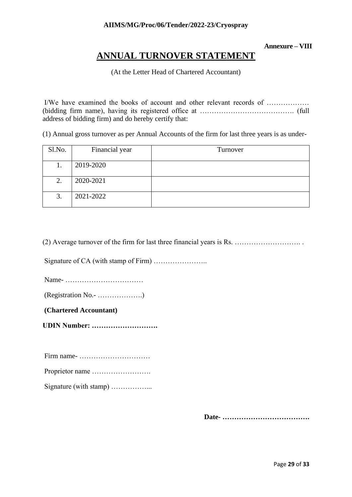**Annexure – VIII**

# **ANNUAL TURNOVER STATEMENT**

(At the Letter Head of Chartered Accountant)

I/We have examined the books of account and other relevant records of ……………… (bidding firm name), having its registered office at …………………………………. (full address of bidding firm) and do hereby certify that:

(1) Annual gross turnover as per Annual Accounts of the firm for last three years is as under-

| Sl.No. | Financial year | Turnover |
|--------|----------------|----------|
| 1.     | 2019-2020      |          |
| 2.     | 2020-2021      |          |
| 3.     | 2021-2022      |          |

(2) Average turnover of the firm for last three financial years is Rs. ………………………. .

Signature of CA (with stamp of Firm) …………………..

Name- ……………………………

(Registration No.- ……………….)

**(Chartered Accountant)**

**UDIN Number: ……………………….**

Firm name- …………………………

Proprietor name …………………….

Signature (with stamp) ……………...

**Date- ……………………………….**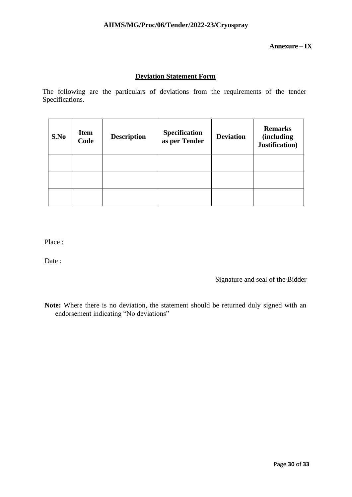### **Annexure – IX**

# **Deviation Statement Form**

The following are the particulars of deviations from the requirements of the tender Specifications.

| S.No | <b>Item</b><br>Code | <b>Description</b> | <b>Specification</b><br>as per Tender | <b>Deviation</b> | <b>Remarks</b><br><i>(including)</i><br>Justification) |
|------|---------------------|--------------------|---------------------------------------|------------------|--------------------------------------------------------|
|      |                     |                    |                                       |                  |                                                        |
|      |                     |                    |                                       |                  |                                                        |
|      |                     |                    |                                       |                  |                                                        |

Place :

Date :

Signature and seal of the Bidder

**Note:** Where there is no deviation, the statement should be returned duly signed with an endorsement indicating "No deviations"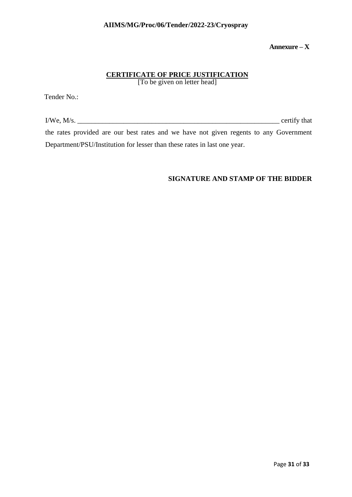**Annexure – X**

#### **CERTIFICATE OF PRICE JUSTIFICATION** [To be given on letter head]

Tender No.:

 $I/We, M/s.$  certify that the rates provided are our best rates and we have not given regents to any Government Department/PSU/Institution for lesser than these rates in last one year.

# **SIGNATURE AND STAMP OF THE BIDDER**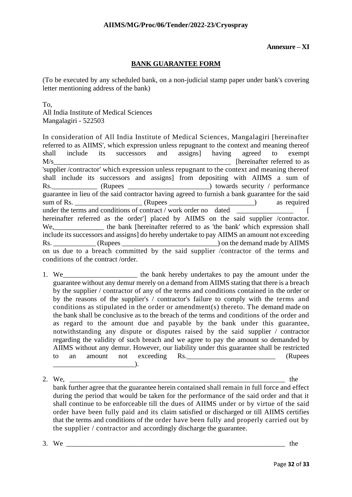### **Annexure – XI**

#### **BANK GUARANTEE FORM**

(To be executed by any scheduled bank, on a non-judicial stamp paper under bank's covering letter mentioning address of the bank)

To,

All India Institute of Medical Sciences Mangalagiri - 522503

In consideration of All India Institute of Medical Sciences, Mangalagiri [hereinafter referred to as AIIMS', which expression unless repugnant to the context and meaning thereof shall include its successors and assigns] having agreed to exempt M/s International method is a set of the electronic method in the electronic method is a set of the electronic method is a set of the electronic method is a set of the electronic method is a set of the electronic method is 'supplier /contractor' which expression unless repugnant to the context and meaning thereof shall include its successors and assigns] from depositing with AIIMS a sum of Rs. \_\_\_\_\_\_\_\_\_\_\_\_\_ (Rupees \_\_\_\_\_\_\_\_\_\_\_\_\_\_\_\_\_\_\_\_\_\_\_\_\_) towards security / performance guarantee in lieu of the said contractor having agreed to furnish a bank guarantee for the said sum of Rs. \_\_\_\_\_\_\_\_\_\_\_\_\_\_\_\_\_\_\_\_ (Rupees \_\_\_\_\_\_\_\_\_\_\_\_\_\_\_\_\_\_\_\_\_\_\_\_\_\_\_\_) as required under the terms and conditions of contract / work order no dated  $\blacksquare$ hereinafter referred as the order'] placed by AIIMS on the said supplier /contractor. We, the bank [hereinafter referred to as 'the bank' which expression shall include its successors and assigns] do hereby undertake to pay AIIMS an amount not exceeding Rs. \_\_\_\_\_\_\_\_\_\_\_\_ (Rupees \_\_\_\_\_\_\_\_\_\_\_\_\_\_\_\_\_\_\_\_\_\_\_\_\_\_\_) on the demand made by AIIMS on us due to a breach committed by the said supplier /contractor of the terms and conditions of the contract /order.

- 1. We the bank hereby undertakes to pay the amount under the guarantee without any demur merely on a demand from AIIMS stating that there is a breach by the supplier / contractor of any of the terms and conditions contained in the order or by the reasons of the supplier's / contractor's failure to comply with the terms and conditions as stipulated in the order or amendment(s) thereto. The demand made on the bank shall be conclusive as to the breach of the terms and conditions of the order and as regard to the amount due and payable by the bank under this guarantee, notwithstanding any dispute or disputes raised by the said supplier / contractor regarding the validity of such breach and we agree to pay the amount so demanded by AIIMS without any demur. However, our liability under this guarantee shall be restricted to an amount not exceeding Rs. \_\_\_\_\_\_\_\_\_\_\_\_\_\_\_\_\_\_\_\_\_\_\_\_\_\_\_ (Rupees  $\Box$
- 2. We, \_\_\_\_\_\_\_\_\_\_\_\_\_\_\_\_\_\_\_\_\_\_\_\_\_\_\_\_\_\_\_\_\_\_\_\_\_\_\_\_\_\_\_\_\_\_\_\_\_\_\_\_\_\_\_\_\_\_\_\_\_\_ the bank further agree that the guarantee herein contained shall remain in full force and effect during the period that would be taken for the performance of the said order and that it shall continue to be enforceable till the dues of AIIMS under or by virtue of the said order have been fully paid and its claim satisfied or discharged or till AIIMS certifies that the terms and conditions of the order have been fully and properly carried out by the supplier / contractor and accordingly discharge the guarantee.

 $3.$  We the state of  $\mathcal{S}_2$  and  $\mathcal{S}_3$  are the state of  $\mathcal{S}_4$  and  $\mathcal{S}_5$  are the state of  $\mathcal{S}_5$  and  $\mathcal{S}_6$  are the state of  $\mathcal{S}_7$  and  $\mathcal{S}_8$  are the state of  $\mathcal{S}_8$  and  $\mathcal{S}_9$  are the stat